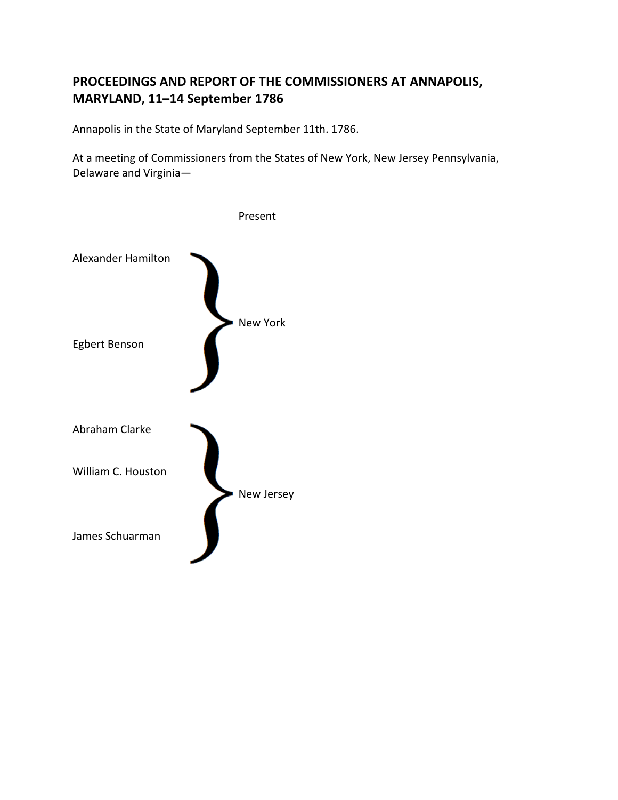## PROCEEDINGS AND REPORT OF THE COMMISSIONERS AT ANNAPOLIS, **MARYLAND, 11-14 September 1786**

Annapolis in the State of Maryland September 11th. 1786.

At a meeting of Commissioners from the States of New York, New Jersey Pennsylvania, Delaware and Virginia-

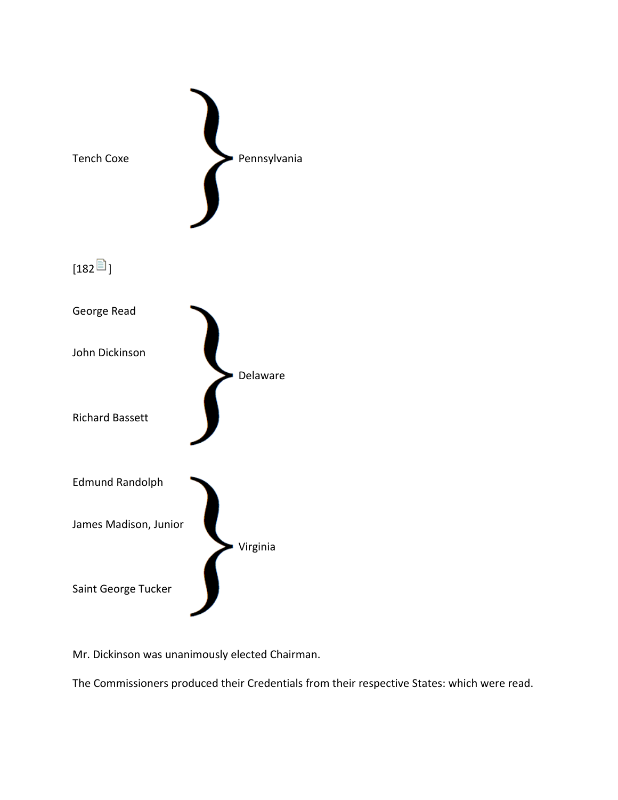

Mr. Dickinson was unanimously elected Chairman.

The Commissioners produced their Credentials from their respective States: which were read.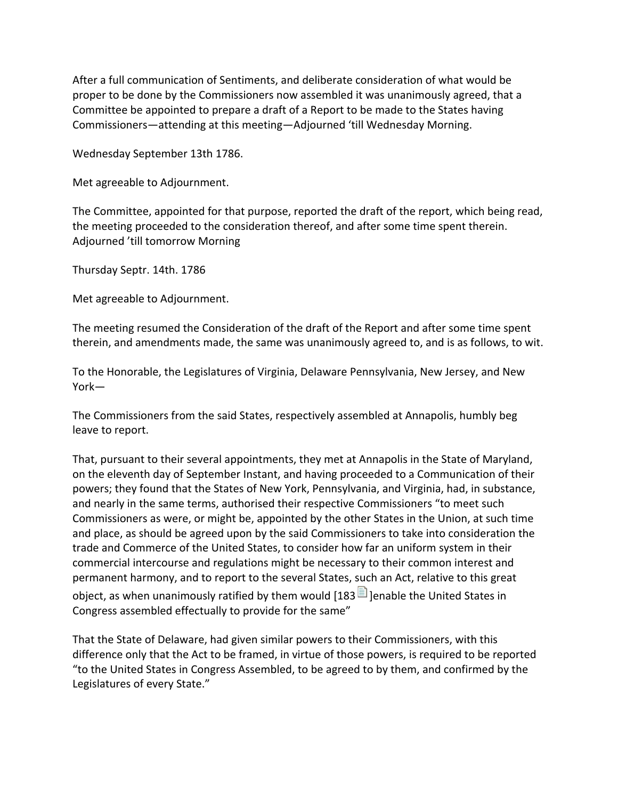After a full communication of Sentiments, and deliberate consideration of what would be proper to be done by the Commissioners now assembled it was unanimously agreed, that a Committee be appointed to prepare a draft of a Report to be made to the States having Commissioners—attending at this meeting—Adjourned 'till Wednesday Morning.

Wednesday September 13th 1786.

Met agreeable to Adjournment.

The Committee, appointed for that purpose, reported the draft of the report, which being read, the)meeting proceeded to the consideration thereof, and after some time spent therein. Adjourned 'till tomorrow Morning

Thursday Septr. 14th. 1786

Met agreeable to Adjournment.

The meeting resumed the Consideration of the draft of the Report and after some time spent therein, and amendments made, the same was unanimously agreed to, and is as follows, to wit.

To the Honorable, the Legislatures of Virginia, Delaware Pennsylvania, New Jersey, and New York—

The Commissioners from the said States, respectively assembled at Annapolis, humbly beg leave to report.

That, pursuant to their several appointments, they met at Annapolis in the State of Maryland, on the eleventh day of September Instant, and having proceeded to a Communication of their powers; they found that the States of New York, Pennsylvania, and Virginia, had, in substance, and nearly in the same terms, authorised their respective Commissioners "to meet such Commissioners as were, or might be, appointed by the other States in the Union, at such time and place, as should be agreed upon by the said Commissioners to take into consideration the trade and Commerce of the United States, to consider how far an uniform system in their commercial intercourse and regulations might be necessary to their common interest and permanent harmony, and to report to the several States, such an Act, relative to this great object, as when unanimously ratified by them would [183 $\Box$ ] lenable the United States in Congress assembled effectually to provide for the same"

That the State of Delaware, had given similar powers to their Commissioners, with this difference only that the Act to be framed, in virtue of those powers, is required to be reported "to the United States in Congress Assembled, to be agreed to by them, and confirmed by the Legislatures of every State."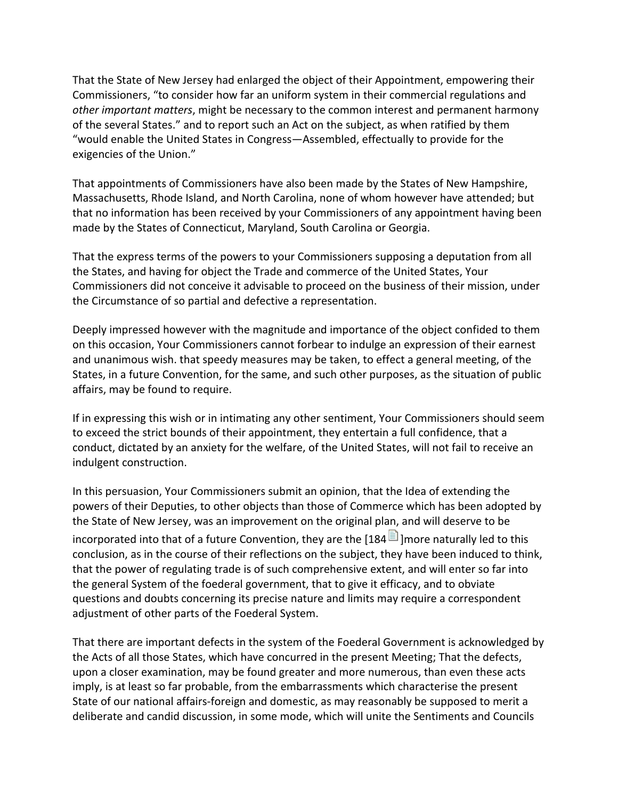That the State of New Jersey had enlarged the object of their Appointment, empowering their Commissioners, "to consider how far an uniform system in their commercial regulations and *other important matters*, might be necessary to the common interest and permanent harmony of the several States." and to report such an Act on the subject, as when ratified by them "would enable the United States in Congress—Assembled, effectually to provide for the exigencies of the Union."

That appointments of Commissioners have also been made by the States of New Hampshire, Massachusetts, Rhode Island, and North Carolina, none of whom however have attended; but that no information has been received by your Commissioners of any appointment having been made by the States of Connecticut, Maryland, South Carolina or Georgia.

That the express terms of the powers to your Commissioners supposing a deputation from all the States, and having for object the Trade and commerce of the United States, Your Commissioners did not conceive it advisable to proceed on the business of their mission, under the Circumstance of so partial and defective a representation.

Deeply impressed however with the magnitude and importance of the object confided to them on this occasion, Your Commissioners cannot forbear to indulge an expression of their earnest and unanimous wish. that speedy measures may be taken, to effect a general meeting, of the States, in a future Convention, for the same, and such other purposes, as the situation of public affairs, may be found to require.

If in expressing this wish or in intimating any other sentiment, Your Commissioners should seem to exceed the strict bounds of their appointment, they entertain a full confidence, that a conduct, dictated by an anxiety for the welfare, of the United States, will not fail to receive an indulgent construction.

In this persuasion, Your Commissioners submit an opinion, that the Idea of extending the powers of their Deputies, to other objects than those of Commerce which has been adopted by the State of New Jersey, was an improvement on the original plan, and will deserve to be incorporated into that of a future Convention, they are the [184  $\Box$ ] more naturally led to this conclusion, as in the course of their reflections on the subject, they have been induced to think, that the power of regulating trade is of such comprehensive extent, and will enter so far into the general System of the foederal government, that to give it efficacy, and to obviate questions and doubts concerning its precise nature and limits may require a correspondent adjustment of other parts of the Foederal System.

That there are important defects in the system of the Foederal Government is acknowledged by the Acts of all those States, which have concurred in the present Meeting; That the defects, upon a closer examination, may be found greater and more numerous, than even these acts imply, is at least so far probable, from the embarrassments which characterise the present State of our national affairs-foreign and domestic, as may reasonably be supposed to merit a deliberate and candid discussion, in some mode, which will unite the Sentiments and Councils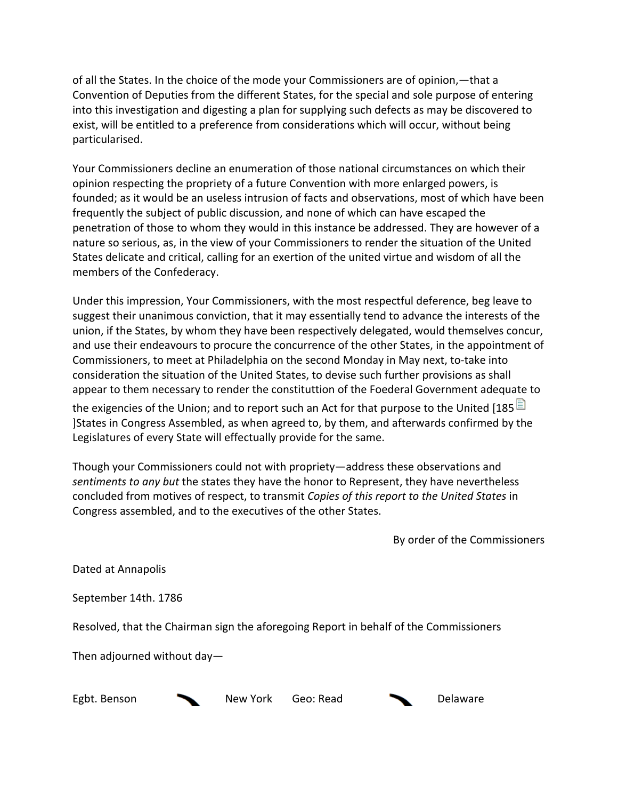of all the States. In the choice of the mode your Commissioners are of opinion,—that a Convention of Deputies from the different States, for the special and sole purpose of entering into this investigation and digesting a plan for supplying such defects as may be discovered to exist, will be entitled to a preference from considerations which will occur, without being particularised.

Your Commissioners decline an enumeration of those national circumstances on which their opinion respecting the propriety of a future Convention with more enlarged powers, is founded; as it would be an useless intrusion of facts and observations, most of which have been frequently the subject of public discussion, and none of which can have escaped the penetration of those to whom they would in this instance be addressed. They are however of a nature so serious, as, in the view of your Commissioners to render the situation of the United States delicate and critical, calling for an exertion of the united virtue and wisdom of all the members of the Confederacy.

Under this impression, Your Commissioners, with the most respectful deference, beg leave to suggest their unanimous conviction, that it may essentially tend to advance the interests of the union, if the States, by whom they have been respectively delegated, would themselves concur, and use their endeavours to procure the concurrence of the other States, in the appointment of Commissioners, to meet at Philadelphia on the second Monday in May next, to-take into consideration the situation of the United States, to devise such further provisions as shall appear to them necessary to render the constituttion of the Foederal Government adequate to

the exigencies of the Union; and to report such an Act for that purpose to the United [185 $\blacksquare$ ] ]States in Congress Assembled, as when agreed to, by them, and afterwards confirmed by the Legislatures of every State will effectually provide for the same.

Though your Commissioners could not with propriety—address these observations and sentiments to any but the states they have the honor to Represent, they have nevertheless concluded from motives of respect, to transmit *Copies of this report to the United States* in Congress assembled, and to the executives of the other States.

By order of the Commissioners

Dated at Annapolis

September 14th. 1786

Resolved, that the Chairman sign the aforegoing Report in behalf of the Commissioners

Then adjourned without day—

Egbt. Benson New York Geo: Read Delaware